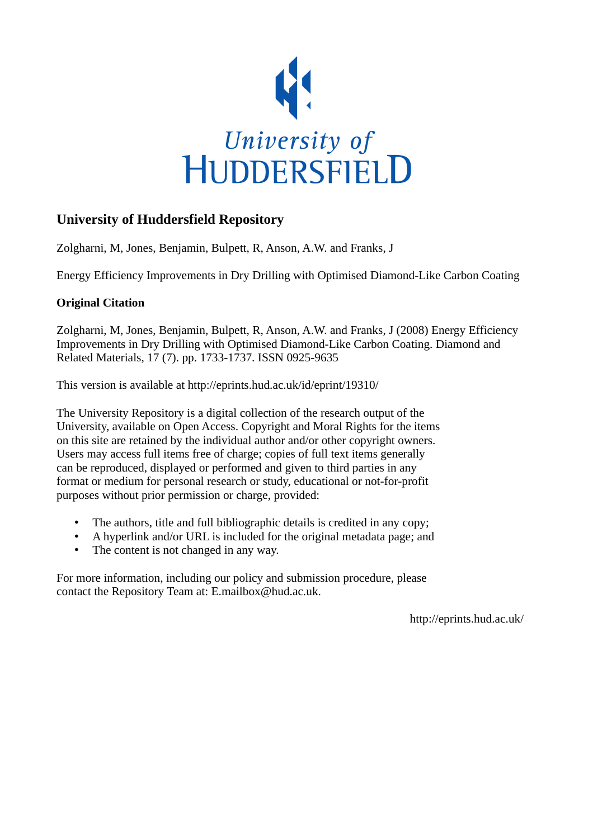

# **University of Huddersfield Repository**

Zolgharni, M, Jones, Benjamin, Bulpett, R, Anson, A.W. and Franks, J

Energy Efficiency Improvements in Dry Drilling with Optimised Diamond-Like Carbon Coating

## **Original Citation**

Zolgharni, M, Jones, Benjamin, Bulpett, R, Anson, A.W. and Franks, J (2008) Energy Efficiency Improvements in Dry Drilling with Optimised Diamond-Like Carbon Coating. Diamond and Related Materials, 17 (7). pp. 1733-1737. ISSN 0925-9635

This version is available at http://eprints.hud.ac.uk/id/eprint/19310/

The University Repository is a digital collection of the research output of the University, available on Open Access. Copyright and Moral Rights for the items on this site are retained by the individual author and/or other copyright owners. Users may access full items free of charge; copies of full text items generally can be reproduced, displayed or performed and given to third parties in any format or medium for personal research or study, educational or not-for-profit purposes without prior permission or charge, provided:

- The authors, title and full bibliographic details is credited in any copy;
- A hyperlink and/or URL is included for the original metadata page; and
- The content is not changed in any way.

For more information, including our policy and submission procedure, please contact the Repository Team at: E.mailbox@hud.ac.uk.

http://eprints.hud.ac.uk/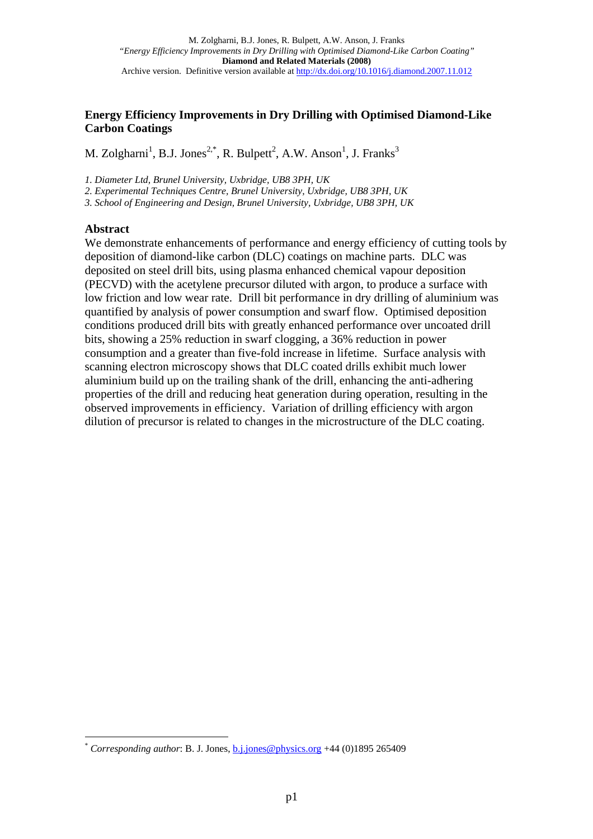### **Energy Efficiency Improvements in Dry Drilling with Optimised Diamond-Like Carbon Coatings**

M. Zolgharni<sup>1</sup>, B.J. Jones<sup>2,\*</sup>, R. Bulpett<sup>2</sup>, A.W. Anson<sup>1</sup>, J. Franks<sup>3</sup>

*1. Diameter Ltd, Brunel University, Uxbridge, UB8 3PH, UK* 

*2. Experimental Techniques Centre, Brunel University, Uxbridge, UB8 3PH, UK* 

*3. School of Engineering and Design, Brunel University, Uxbridge, UB8 3PH, UK* 

#### **Abstract**

 $\overline{a}$ 

We demonstrate enhancements of performance and energy efficiency of cutting tools by deposition of diamond-like carbon (DLC) coatings on machine parts. DLC was deposited on steel drill bits, using plasma enhanced chemical vapour deposition (PECVD) with the acetylene precursor diluted with argon, to produce a surface with low friction and low wear rate. Drill bit performance in dry drilling of aluminium was quantified by analysis of power consumption and swarf flow. Optimised deposition conditions produced drill bits with greatly enhanced performance over uncoated drill bits, showing a 25% reduction in swarf clogging, a 36% reduction in power consumption and a greater than five-fold increase in lifetime. Surface analysis with scanning electron microscopy shows that DLC coated drills exhibit much lower aluminium build up on the trailing shank of the drill, enhancing the anti-adhering properties of the drill and reducing heat generation during operation, resulting in the observed improvements in efficiency. Variation of drilling efficiency with argon dilution of precursor is related to changes in the microstructure of the DLC coating.

*Corresponding author*: B. J. Jones, b.j.jones@physics.org +44 (0)1895 265409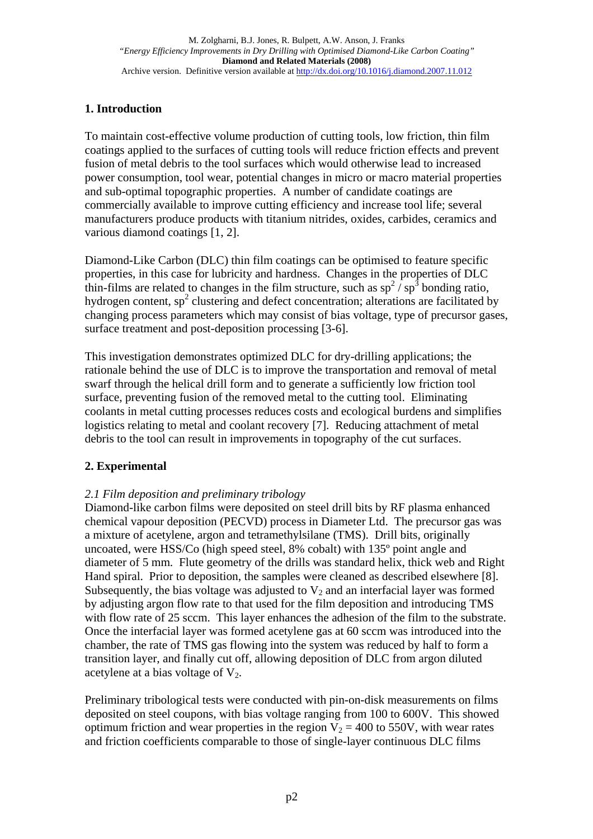# **1. Introduction**

To maintain cost-effective volume production of cutting tools, low friction, thin film coatings applied to the surfaces of cutting tools will reduce friction effects and prevent fusion of metal debris to the tool surfaces which would otherwise lead to increased power consumption, tool wear, potential changes in micro or macro material properties and sub-optimal topographic properties. A number of candidate coatings are commercially available to improve cutting efficiency and increase tool life; several manufacturers produce products with titanium nitrides, oxides, carbides, ceramics and various diamond coatings [1, 2].

Diamond-Like Carbon (DLC) thin film coatings can be optimised to feature specific properties, in this case for lubricity and hardness. Changes in the properties of DLC thin-films are related to changes in the film structure, such as  $sp^2/sp^3$  bonding ratio, hydrogen content,  $sp^2$  clustering and defect concentration; alterations are facilitated by changing process parameters which may consist of bias voltage, type of precursor gases, surface treatment and post-deposition processing [3-6].

This investigation demonstrates optimized DLC for dry-drilling applications; the rationale behind the use of DLC is to improve the transportation and removal of metal swarf through the helical drill form and to generate a sufficiently low friction tool surface, preventing fusion of the removed metal to the cutting tool. Eliminating coolants in metal cutting processes reduces costs and ecological burdens and simplifies logistics relating to metal and coolant recovery [7]. Reducing attachment of metal debris to the tool can result in improvements in topography of the cut surfaces.

# **2. Experimental**

# *2.1 Film deposition and preliminary tribology*

Diamond-like carbon films were deposited on steel drill bits by RF plasma enhanced chemical vapour deposition (PECVD) process in Diameter Ltd. The precursor gas was a mixture of acetylene, argon and tetramethylsilane (TMS). Drill bits, originally uncoated, were HSS/Co (high speed steel, 8% cobalt) with 135º point angle and diameter of 5 mm. Flute geometry of the drills was standard helix, thick web and Right Hand spiral. Prior to deposition, the samples were cleaned as described elsewhere [8]. Subsequently, the bias voltage was adjusted to  $V_2$  and an interfacial layer was formed by adjusting argon flow rate to that used for the film deposition and introducing TMS with flow rate of 25 sccm. This layer enhances the adhesion of the film to the substrate. Once the interfacial layer was formed acetylene gas at 60 sccm was introduced into the chamber, the rate of TMS gas flowing into the system was reduced by half to form a transition layer, and finally cut off, allowing deposition of DLC from argon diluted acetylene at a bias voltage of  $V_2$ .

Preliminary tribological tests were conducted with pin-on-disk measurements on films deposited on steel coupons, with bias voltage ranging from 100 to 600V. This showed optimum friction and wear properties in the region  $V_2 = 400$  to 550V, with wear rates and friction coefficients comparable to those of single-layer continuous DLC films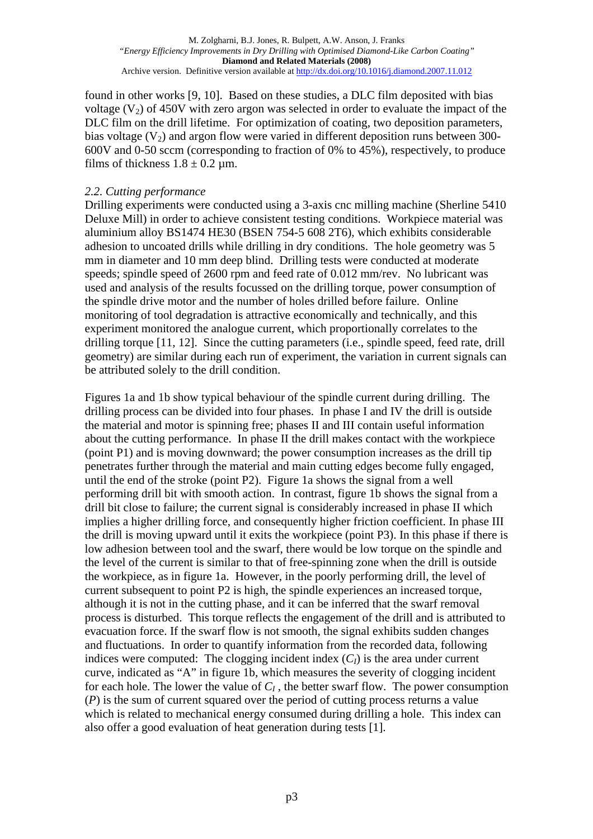found in other works [9, 10]. Based on these studies, a DLC film deposited with bias voltage  $(V_2)$  of 450V with zero argon was selected in order to evaluate the impact of the DLC film on the drill lifetime. For optimization of coating, two deposition parameters, bias voltage  $(V_2)$  and argon flow were varied in different deposition runs between 300-600V and 0-50 sccm (corresponding to fraction of 0% to 45%), respectively, to produce films of thickness  $1.8 \pm 0.2$  µm.

### *2.2. Cutting performance*

Drilling experiments were conducted using a 3-axis cnc milling machine (Sherline 5410 Deluxe Mill) in order to achieve consistent testing conditions. Workpiece material was aluminium alloy BS1474 HE30 (BSEN 754-5 608 2T6), which exhibits considerable adhesion to uncoated drills while drilling in dry conditions. The hole geometry was 5 mm in diameter and 10 mm deep blind. Drilling tests were conducted at moderate speeds; spindle speed of 2600 rpm and feed rate of 0.012 mm/rev. No lubricant was used and analysis of the results focussed on the drilling torque, power consumption of the spindle drive motor and the number of holes drilled before failure. Online monitoring of tool degradation is attractive economically and technically, and this experiment monitored the analogue current, which proportionally correlates to the drilling torque [11, 12]. Since the cutting parameters (i.e., spindle speed, feed rate, drill geometry) are similar during each run of experiment, the variation in current signals can be attributed solely to the drill condition.

Figures 1a and 1b show typical behaviour of the spindle current during drilling. The drilling process can be divided into four phases. In phase I and IV the drill is outside the material and motor is spinning free; phases II and III contain useful information about the cutting performance. In phase II the drill makes contact with the workpiece (point P1) and is moving downward; the power consumption increases as the drill tip penetrates further through the material and main cutting edges become fully engaged, until the end of the stroke (point P2). Figure 1a shows the signal from a well performing drill bit with smooth action. In contrast, figure 1b shows the signal from a drill bit close to failure; the current signal is considerably increased in phase II which implies a higher drilling force, and consequently higher friction coefficient. In phase III the drill is moving upward until it exits the workpiece (point P3). In this phase if there is low adhesion between tool and the swarf, there would be low torque on the spindle and the level of the current is similar to that of free-spinning zone when the drill is outside the workpiece, as in figure 1a. However, in the poorly performing drill, the level of current subsequent to point P2 is high, the spindle experiences an increased torque, although it is not in the cutting phase, and it can be inferred that the swarf removal process is disturbed. This torque reflects the engagement of the drill and is attributed to evacuation force. If the swarf flow is not smooth, the signal exhibits sudden changes and fluctuations. In order to quantify information from the recorded data, following indices were computed: The clogging incident index  $(C<sub>I</sub>)$  is the area under current curve, indicated as "A" in figure 1b, which measures the severity of clogging incident for each hole. The lower the value of  $C_I$ , the better swarf flow. The power consumption (*P*) is the sum of current squared over the period of cutting process returns a value which is related to mechanical energy consumed during drilling a hole. This index can also offer a good evaluation of heat generation during tests [1].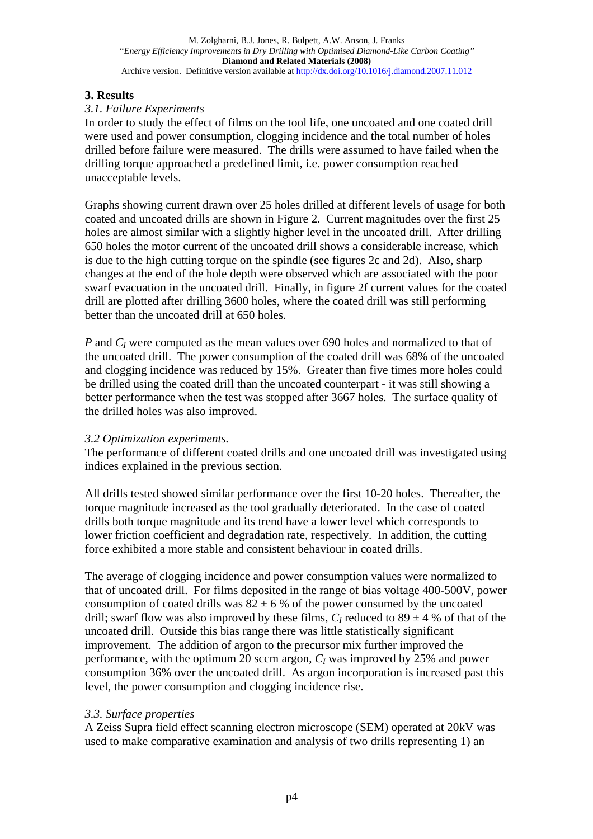### **3. Results**

#### *3.1. Failure Experiments*

In order to study the effect of films on the tool life, one uncoated and one coated drill were used and power consumption, clogging incidence and the total number of holes drilled before failure were measured. The drills were assumed to have failed when the drilling torque approached a predefined limit, i.e. power consumption reached unacceptable levels.

Graphs showing current drawn over 25 holes drilled at different levels of usage for both coated and uncoated drills are shown in Figure 2. Current magnitudes over the first 25 holes are almost similar with a slightly higher level in the uncoated drill. After drilling 650 holes the motor current of the uncoated drill shows a considerable increase, which is due to the high cutting torque on the spindle (see figures 2c and 2d). Also, sharp changes at the end of the hole depth were observed which are associated with the poor swarf evacuation in the uncoated drill. Finally, in figure 2f current values for the coated drill are plotted after drilling 3600 holes, where the coated drill was still performing better than the uncoated drill at 650 holes.

*P* and  $C_I$  were computed as the mean values over 690 holes and normalized to that of the uncoated drill. The power consumption of the coated drill was 68% of the uncoated and clogging incidence was reduced by 15%. Greater than five times more holes could be drilled using the coated drill than the uncoated counterpart - it was still showing a better performance when the test was stopped after 3667 holes. The surface quality of the drilled holes was also improved.

#### *3.2 Optimization experiments.*

The performance of different coated drills and one uncoated drill was investigated using indices explained in the previous section.

All drills tested showed similar performance over the first 10-20 holes. Thereafter, the torque magnitude increased as the tool gradually deteriorated. In the case of coated drills both torque magnitude and its trend have a lower level which corresponds to lower friction coefficient and degradation rate, respectively. In addition, the cutting force exhibited a more stable and consistent behaviour in coated drills.

The average of clogging incidence and power consumption values were normalized to that of uncoated drill. For films deposited in the range of bias voltage 400-500V, power consumption of coated drills was  $82 \pm 6$  % of the power consumed by the uncoated drill; swarf flow was also improved by these films,  $C_l$  reduced to  $89 \pm 4$  % of that of the uncoated drill. Outside this bias range there was little statistically significant improvement. The addition of argon to the precursor mix further improved the performance, with the optimum 20 sccm argon, *CI* was improved by 25% and power consumption 36% over the uncoated drill. As argon incorporation is increased past this level, the power consumption and clogging incidence rise.

#### *3.3. Surface properties*

A Zeiss Supra field effect scanning electron microscope (SEM) operated at 20kV was used to make comparative examination and analysis of two drills representing 1) an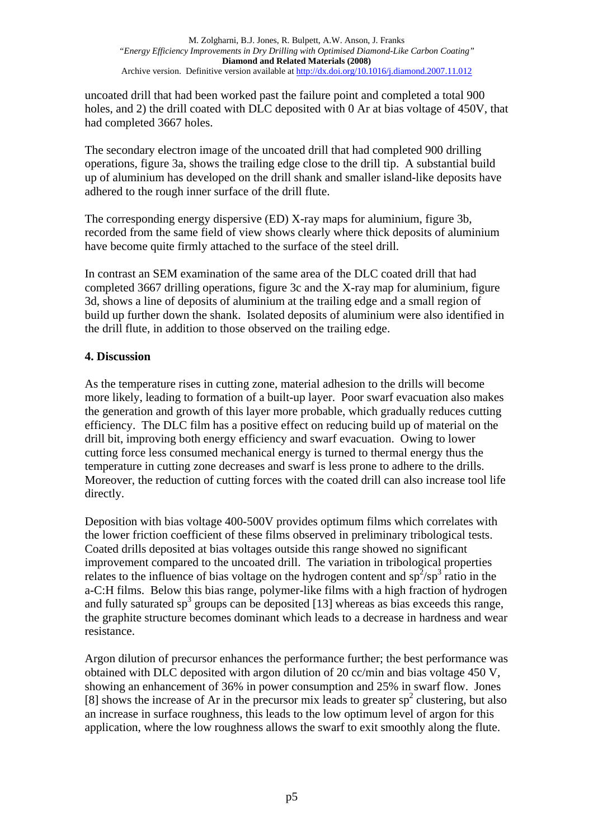uncoated drill that had been worked past the failure point and completed a total 900 holes, and 2) the drill coated with DLC deposited with 0 Ar at bias voltage of 450V, that had completed 3667 holes.

The secondary electron image of the uncoated drill that had completed 900 drilling operations, figure 3a, shows the trailing edge close to the drill tip. A substantial build up of aluminium has developed on the drill shank and smaller island-like deposits have adhered to the rough inner surface of the drill flute.

The corresponding energy dispersive (ED) X-ray maps for aluminium, figure 3b, recorded from the same field of view shows clearly where thick deposits of aluminium have become quite firmly attached to the surface of the steel drill.

In contrast an SEM examination of the same area of the DLC coated drill that had completed 3667 drilling operations, figure 3c and the X-ray map for aluminium, figure 3d, shows a line of deposits of aluminium at the trailing edge and a small region of build up further down the shank. Isolated deposits of aluminium were also identified in the drill flute, in addition to those observed on the trailing edge.

## **4. Discussion**

As the temperature rises in cutting zone, material adhesion to the drills will become more likely, leading to formation of a built-up layer. Poor swarf evacuation also makes the generation and growth of this layer more probable, which gradually reduces cutting efficiency. The DLC film has a positive effect on reducing build up of material on the drill bit, improving both energy efficiency and swarf evacuation. Owing to lower cutting force less consumed mechanical energy is turned to thermal energy thus the temperature in cutting zone decreases and swarf is less prone to adhere to the drills. Moreover, the reduction of cutting forces with the coated drill can also increase tool life directly.

Deposition with bias voltage 400-500V provides optimum films which correlates with the lower friction coefficient of these films observed in preliminary tribological tests. Coated drills deposited at bias voltages outside this range showed no significant improvement compared to the uncoated drill. The variation in tribological properties relates to the influence of bias voltage on the hydrogen content and  $sp^2/sp^3$  ratio in the a-C:H films. Below this bias range, polymer-like films with a high fraction of hydrogen and fully saturated  $sp^3$  groups can be deposited [13] whereas as bias exceeds this range, the graphite structure becomes dominant which leads to a decrease in hardness and wear resistance.

Argon dilution of precursor enhances the performance further; the best performance was obtained with DLC deposited with argon dilution of 20 cc/min and bias voltage 450 V, showing an enhancement of 36% in power consumption and 25% in swarf flow. Jones [8] shows the increase of Ar in the precursor mix leads to greater  $sp<sup>2</sup>$  clustering, but also an increase in surface roughness, this leads to the low optimum level of argon for this application, where the low roughness allows the swarf to exit smoothly along the flute.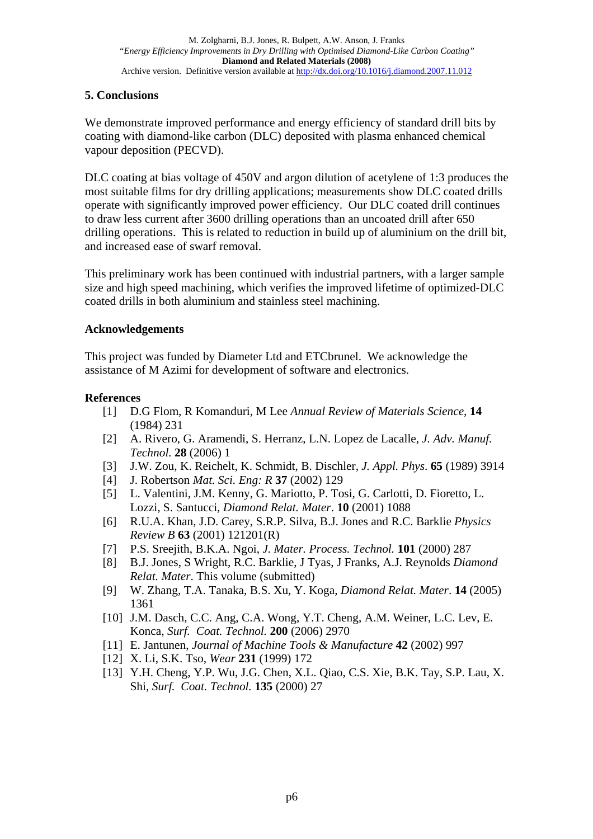# **5. Conclusions**

We demonstrate improved performance and energy efficiency of standard drill bits by coating with diamond-like carbon (DLC) deposited with plasma enhanced chemical vapour deposition (PECVD).

DLC coating at bias voltage of 450V and argon dilution of acetylene of 1:3 produces the most suitable films for dry drilling applications; measurements show DLC coated drills operate with significantly improved power efficiency. Our DLC coated drill continues to draw less current after 3600 drilling operations than an uncoated drill after 650 drilling operations. This is related to reduction in build up of aluminium on the drill bit, and increased ease of swarf removal.

This preliminary work has been continued with industrial partners, with a larger sample size and high speed machining, which verifies the improved lifetime of optimized-DLC coated drills in both aluminium and stainless steel machining.

### **Acknowledgements**

This project was funded by Diameter Ltd and ETCbrunel. We acknowledge the assistance of M Azimi for development of software and electronics.

### **References**

- [1] D.G Flom, R Komanduri, M Lee *Annual Review of Materials Science*, **14** (1984) 231
- [2] A. Rivero, G. Aramendi, S. Herranz, L.N. Lopez de Lacalle, *J. Adv. Manuf. Technol.* **28** (2006) 1
- [3] J.W. Zou, K. Reichelt, K. Schmidt, B. Dischler, *J. Appl. Phys*. **65** (1989) 3914
- [4] J. Robertson *Mat. Sci. Eng: R* **37** (2002) 129
- [5] L. Valentini, J.M. Kenny, G. Mariotto, P. Tosi, G. Carlotti, D. Fioretto, L. Lozzi, S. Santucci, *Diamond Relat. Mater*. **10** (2001) 1088
- [6] R.U.A. Khan, J.D. Carey, S.R.P. Silva, B.J. Jones and R.C. Barklie *Physics Review B* **63** (2001) 121201(R)
- [7] P.S. Sreejith, B.K.A. Ngoi, *J. Mater. Process. Technol.* **101** (2000) 287
- [8] B.J. Jones, S Wright, R.C. Barklie, J Tyas, J Franks, A.J. Reynolds *Diamond Relat. Mater*. This volume (submitted)
- [9] W. Zhang, T.A. Tanaka, B.S. Xu, Y. Koga, *Diamond Relat. Mater*. **14** (2005) 1361
- [10] J.M. Dasch, C.C. Ang, C.A. Wong, Y.T. Cheng, A.M. Weiner, L.C. Lev, E. Konca, *Surf. Coat. Technol.* **200** (2006) 2970
- [11] E. Jantunen, *Journal of Machine Tools & Manufacture* **42** (2002) 997
- [12] X. Li, S.K. Tso, *Wear* **231** (1999) 172
- [13] Y.H. Cheng, Y.P. Wu, J.G. Chen, X.L. Qiao, C.S. Xie, B.K. Tay, S.P. Lau, X. Shi, *Surf. Coat. Technol.* **135** (2000) 27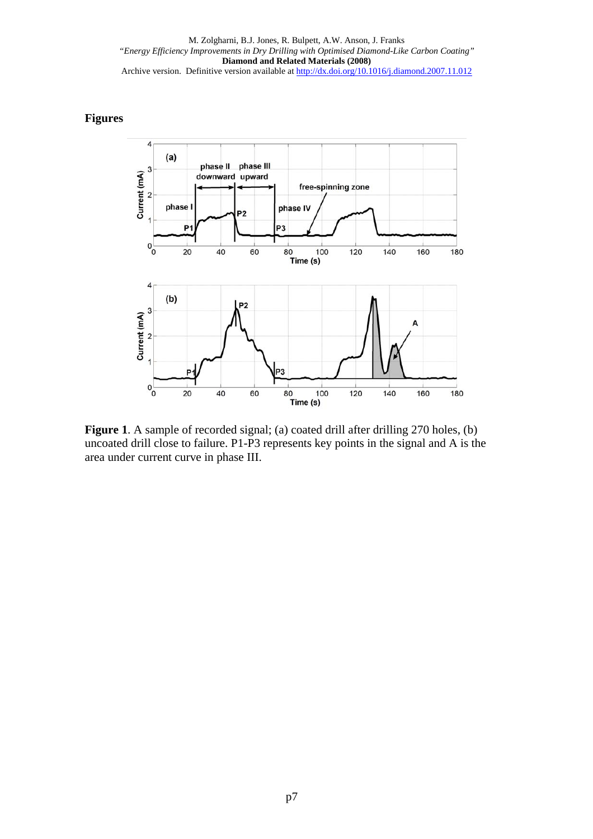## **Figures**



**Figure 1.** A sample of recorded signal; (a) coated drill after drilling 270 holes, (b) uncoated drill close to failure. P1-P3 represents key points in the signal and A is the area under current curve in phase III.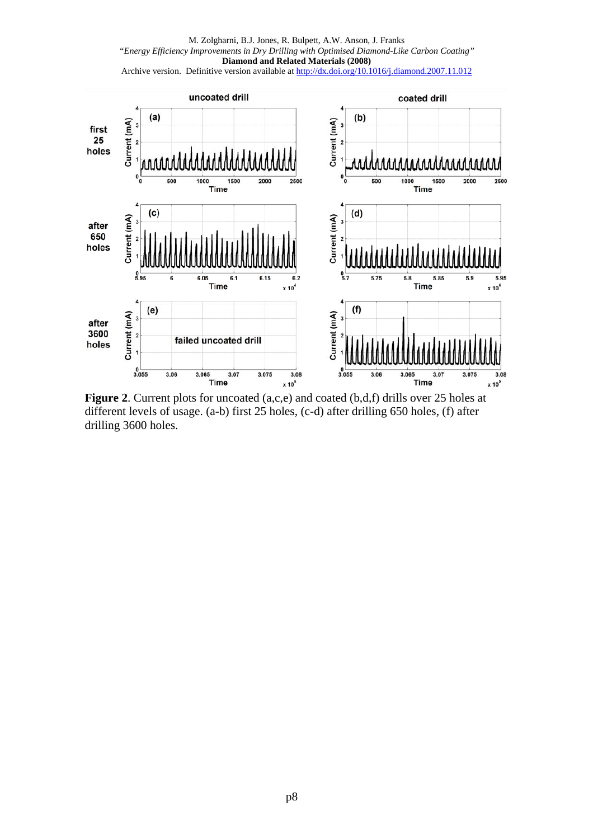

**Figure 2**. Current plots for uncoated (a,c,e) and coated (b,d,f) drills over 25 holes at different levels of usage. (a-b) first 25 holes, (c-d) after drilling 650 holes, (f) after drilling 3600 holes.